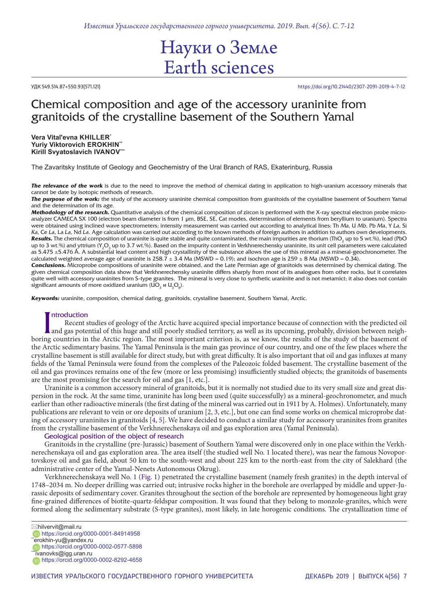*Известия Уральского государственного горного университета. 2019. Вып. 4(56). С. 7-12*

# Науки о Земле Earth sciences

УДК 549.514.87+550.93(571.121) https://doi.org/10.21440/2307-2091-2019-4-7-12

# Chemical composition and age of the accessory uraninite from granitoids of the crystalline basement of the Southern Yamal

**Vera Vital'evna KHILLER\* Yuriy Viktorovich EROKHIN\*\* Kirill Svyatoslavich IVANOV\*\*\***

The Zavaritsky Institute of Geology and Geochemistry of the Ural Branch of RAS, Ekaterinburg, Russia

**The relevance of the work** is due to the need to improve the method of chemical dating in application to high-uranium accessory minerals that cannot be date by isotopic methods of research.

*The purpose of the work:* the study of the accessory uraninite chemical composition from granitoids of the crystalline basement of Southern Yamal and the determination of its age.

*Methodology of the research.* Quantitative analysis of the chemical composition of zircon is performed with the X-ray spectral electron probe microanalyzer CAMECA SX 100 (electron beam diameter is from 1 μm, BSE, SE, Cat modes, determination of elements from beryllium to uranium). Spectra were obtained using inclined wave spectrometers; intensity measurement was carried out according to analytical lines: Th *Ma*, U *Mb*, Pb *Ma*, Y *La*, Si *Ka*, Ce *La*, La *La*, Nd *La*. Age calculation was carried out according to the known methods of foreign authors in addition to authors own developments.  $\bm R$ esults. The chemical composition of uraninite is quite stable and quite contaminated, the main impurities are thorium (ThO<sub>2</sub> up to 5 wt.%), lead (PbO up to 3 wt.%) and yttrium (Y<sub>2</sub>O<sub>3</sub> up to 3.7 wt.%). Based on the impurity content in Verkhnerechensky uraninite, its unit cell parameters were calculated as 5.475 ±5.476 Å. A substantial lead content and high crystallinity of the substance allows the use of this mineral as a mineral-geochronometer. The calculated weighted average age of uraninite is  $258.7 \pm 3.4$  Ma (MSWD = 0.19); and isochron age is  $259 \pm 8$  Ma (MSWD = 0.34).

*Conclusions.* Microprobe compositions of uraninite were obtained, and the Late Permian age of granitoids was determined by chemical dating. The given chemical composition data show that Verkhnerechensky uraninite differs sharply from most of its analogues from other rocks, but it correlates quite well with accessory uraninites from S-type granites. The mineral is very close to synthetic uraninite and is not metamict; it also does not contain significant amounts of more oxidized uranium (UO $_{_3}$  и U $_{\rm_3}$ O $_{\rm_8}$ ).

*Keywords:* uraninite, composition, chemical dating, granitoids, crystalline basement, Southern Yamal, Arctic.

## **Introduction**

Introduction<br>Recent studies of geology of the Arctic have acquired special importance because of connection with the predicted oil<br>and gas potential of this huge and still poorly studied territory, as well as its upcoming, Recent studies of geology of the Arctic have acquired special importance because of connection with the predicted oil and gas potential of this huge and still poorly studied territory, as well as its upcoming, probably, division between neighthe Arctic sedimentary basins. The Yamal Peninsula is the main gas province of our country, and one of the few places where the crystalline basement is still available for direct study, but with great difficulty. It is also important that oil and gas influxes at many fields of the Yamal Peninsula were found from the complexes of the Paleozoic folded basement. The crystalline basement of the oil and gas provinces remains one of the few (more or less promising) insufficiently studied objects; the granitoids of basements are the most promising for the search for oil and gas [1, etc.].

Uraninite is a common accessory mineral of granitoids, but it is normally not studied due to its very small size and great dispersion in the rock. At the same time, uraninite has long been used (quite successfully) as a mineral-geochronometer, and much earlier than other radioactive minerals (the first dating of the mineral was carried out in 1911 by A. Holmes). Unfortunately, many publications are relevant to vein or ore deposits of uranium [2, 3, etc.], but one can find some works on chemical microprobe dating of accessory uraninites in granitoids [4, 5]. We have decided to conduct a similar study for accessory uraninites from granites from the crystalline basement of the Verkhnerechenskaya oil and gas exploration area (Yamal Peninsula).

# Geological position of the object of research

Granitoids in the crystalline (pre-Jurassic) basement of Southern Yamal were discovered only in one place within the Verkhnerechenskaya oil and gas exploration area. The area itself (the studied well No. 1 located there), was near the famous Novoportovskoye oil and gas field, about 50 km to the south-west and about 225 km to the north-east from the city of Salekhard (the administrative center of the Yamal-Nenets Autonomous Okrug).

Verkhnerechenskaya well No. 1 (Fig. 1) penetrated the crystalline basement (namely fresh granites) in the depth interval of 1748–2034 m. No deeper drilling was carried out; intrusive rocks higher in the borehole are overlapped by middle and upper-Jurassic deposits of sedimentary cover. Granites throughout the section of the borehole are represented by homogeneous light gray fine-grained differences of biotite-quartz-feldspar composition. It was found that they belong to monzole-granites, which were formed along the sedimentary substrate (S-type granites), most likely, in late horogenic conditions. The crystallization time of

 $\boxtimes$ hilvervit@mail.ru

https://orcid.org/0000-0002-0577-5898

https://orcid.org/0000-0002-8292-4658

https://orcid.org/0000-0001-84914958 \*erokhin-yu@yandex.ru

<sup>\*</sup>ivanovks@igg.uran.ru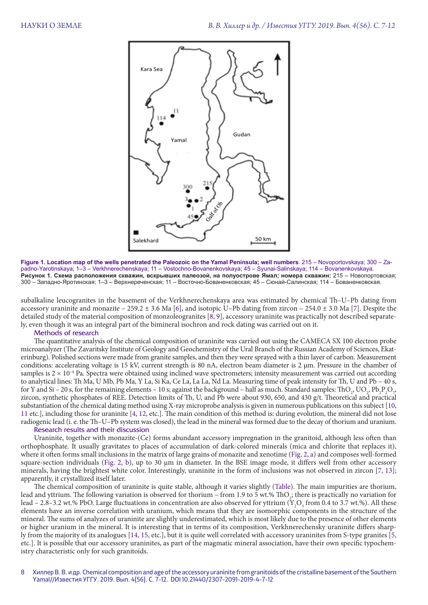

**Figure 1. Location map of the wells penetrated the Paleozoic on the Yamal Peninsula; well numbers**. 215 – Novoportovskaya; 300 – Zapadno-Yarotinskaya; 1–3 – Verkhnerechenskaya; 11 – Vostochno-Bovanenkovskaya; 45 – Syunai-Salinskaya; 114 – Bovanenkovskaya. **Рисунок 1. Схема расположения скважин, вскрывших палеозой, на полуострове Ямал; номера скважин:** 215 – Новопортовская; 300 – Западно-Яротинская; 1–3 – Верхнереченская; 11 – Восточно-Бованенковская; 45 – Сюнай-Салинская; 114 – Бованенковская.

subalkaline leucogranites in the basement of the Verkhnerechenskaya area was estimated by chemical Th–U–Pb dating from accessory uraninite and monazite – 259.2  $\pm$  3.6 Ma [6], and isotopic U–Pb dating from zircon – 254.0  $\pm$  3.0 Ma [7]. Despite the detailed study of the material composition of monzoleogranites [8, 9], accessory uraninite was practically not described separately, even though it was an integral part of the bimineral isochron and rock dating was carried out on it.

# Methods of research

The quantitative analysis of the chemical composition of uraninite was carried out using the CAMECA SX 100 electron probe microanalyzer (The Zavaritsky Institute of Geology and Geochemistry of the Ural Branch of the Russian Academy of Sciences, Ekaterinburg). Polished sections were made from granite samples, and then they were sprayed with a thin layer of carbon. Measurement conditions: accelerating voltage is 15 kV, current strength is 80 nA, electron beam diameter is 2 μm. Pressure in the chamber of samples is  $2 \times 10^{-4}$  Pa. Spectra were obtained using inclined wave spectrometers; intensity measurement was carried out according to analytical lines: Th Ma, U Mb, Pb Ma, Y La, Si Ka, Ce La, La La, Nd La. Measuring time of peak intensity for Th, U and Pb – 40 s, for Y and Si – 20 s, for the remaining elements – 10 s; against the background – half as much. Standard samples: ThO<sub>2</sub>,  $\text{UO}_2$ ,  $\text{Pb}_2\text{P}_2\text{O}_7$ , zircon, synthetic phosphates of REE. Detection limits of Th, U, and Pb were about 930, 650, and 430 g/t. Theoretical and practical substantiation of the chemical dating method using X-ray microprobe analysis is given in numerous publications on this subject [10, 11 etc.], including those for uraninite [4, 12, etc.]. The main condition of this method is: during evolution, the mineral did not lose radiogenic lead (i. e. the Th–U–Pb system was closed), the lead in the mineral was formed due to the decay of thorium and uranium.

# Research results and their discussion

Uraninite, together with monazite-(Ce) forms abundant accessory impregnation in the granitoid, although less often than orthophosphate. It usually gravitates to places of accumulation of dark-colored minerals (mica and chlorite that replaces it), where it often forms small inclusions in the matrix of large grains of monazite and xenotime (Fig. 2, a) and composes well-formed square-section individuals (Fig. 2, b), up to 30 μm in diameter. In the BSE image mode, it differs well from other accessory minerals, having the brightest white color. Interestingly, uraninite in the form of inclusions was not observed in zircon [7, 13]; apparently, it crystallized itself later.

The chemical composition of uraninite is quite stable, although it varies slightly (Table). The main impurities are thorium, lead and yttrium. The following variation is observed for thorium – from 1.9 to 5 wt.% ThO<sub>2</sub>; there is practically no variation for lead – 2.8–3.2 wt.% PbO. Large fluctuations in concentration are also observed for yttrium (Y<sub>2</sub>O<sub>3</sub> from 0.4 to 3.7 wt.%). All these elements have an inverse correlation with uranium, which means that they are isomorphic components in the structure of the mineral. The sums of analyzes of uraninite are slightly underestimated, which is most likely due to the presence of other elements or higher uranium in the mineral. It is interesting that in terms of its composition, Verkhnerechensky uraninite differs sharply from the majority of its analogues [14, 15, etc.], but it is quite well correlated with accessory uraninites from S-type granites [5, etc.]. It is possible that our accessory uraninites, as part of the magmatic mineral association, have their own specific typochemistry characteristic only for such granitoids.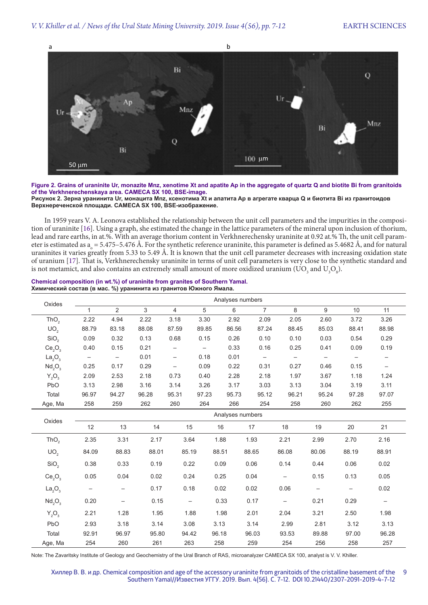

**Figure 2. Grains of uraninite Ur, monazite Mnz, xenotime Xt and apatite Ap in the aggregate of quartz Q and biotite Bi from granitoids of the Verkhnerechenskaya area. CAMECA SX 100, BSE-image. Рисунок 2. Зерна уранинита Ur, монацита Mnz, ксенотима Xt и апатита Ap в агрегате кварца Q и биотита Bi из гранитоидов Верхнереченской площади. CAMECA SX 100, BSE-изображение.**

In 1959 years V. A. Leonova established the relationship between the unit cell parameters and the impurities in the composition of uraninite [16]. Using a graph, she estimated the change in the lattice parameters of the mineral upon inclusion of thorium, lead and rare earths, in at.%. With an average thorium content in Verkhnerechensky uraninite at 0.92 at.% Th, the unit cell parameter is estimated as  $a_{\circ} = 5.475 - 5.476$  Å. For the synthetic reference uraninite, this parameter is defined as 5.4682 Å, and for natural uraninites it varies greatly from 5.33 to 5.49 Å. It is known that the unit cell parameter decreases with increasing oxidation state of uranium [17]. That is, Verkhnerechensky uraninite in terms of unit cell parameters is very close to the synthetic standard and is not metamict, and also contains an extremely small amount of more oxidized uranium (UO $_{\rm_3}$  and U $_{\rm_3}$ O $_{\rm_8}$ ).

#### **Chemical composition (in wt.%) of uraninite from granites of Southern Yamal. Химический состав (в мас. %) уранинита из гранитов Южного Ямала.**

| Oxides                         | Analyses numbers         |                          |       |                          |                   |       |                          |                          |                          |       |                   |
|--------------------------------|--------------------------|--------------------------|-------|--------------------------|-------------------|-------|--------------------------|--------------------------|--------------------------|-------|-------------------|
|                                | 1                        | $\overline{2}$           | 3     | $\overline{4}$           | 5                 | 6     | $\overline{7}$           | 8                        | 9                        | 10    | 11                |
| ThO <sub>2</sub>               | 2.22                     | 4.94                     | 2.22  | 3.18                     | 3.30              | 2.92  | 2.09                     | 2.05                     | 2.60                     | 3.72  | 3.26              |
| UO <sub>2</sub>                | 88.79                    | 83.18                    | 88.08 | 87.59                    | 89.85             | 86.56 | 87.24                    | 88.45                    | 85.03                    | 88.41 | 88.98             |
| SiO <sub>2</sub>               | 0.09                     | 0.32                     | 0.13  | 0.68                     | 0.15              | 0.26  | 0.10                     | 0.10                     | 0.03                     | 0.54  | 0.29              |
| Ce <sub>2</sub> O <sub>3</sub> | 0.40                     | 0.15                     | 0.21  | $\qquad \qquad -$        | $\qquad \qquad -$ | 0.33  | 0.16                     | 0.25                     | 0.41                     | 0.09  | 0.19              |
| La <sub>2</sub> O <sub>3</sub> | $\overline{\phantom{m}}$ | $\qquad \qquad -$        | 0.01  | $\overline{\phantom{0}}$ | 0.18              | 0.01  | $\overline{\phantom{0}}$ | $\overline{\phantom{0}}$ | $\overline{\phantom{0}}$ |       |                   |
| Nd <sub>2</sub> O <sub>3</sub> | 0.25                     | 0.17                     | 0.29  | $\qquad \qquad -$        | 0.09              | 0.22  | 0.31                     | 0.27                     | 0.46                     | 0.15  | $-$               |
| $Y_2O_3$                       | 2.09                     | 2.53                     | 2.18  | 0.73                     | 0.40              | 2.28  | 2.18                     | 1.97                     | 3.67                     | 1.18  | 1.24              |
| PbO                            | 3.13                     | 2.98                     | 3.16  | 3.14                     | 3.26              | 3.17  | 3.03                     | 3.13                     | 3.04                     | 3.19  | 3.11              |
| Total                          | 96.97                    | 94.27                    | 96.28 | 95.31                    | 97.23             | 95.73 | 95.12                    | 96.21                    | 95.24                    | 97.28 | 97.07             |
| Age, Ma                        | 258                      | 259                      | 262   | 260                      | 264               | 266   | 254                      | 258                      | 260                      | 262   | 255               |
| Oxides                         | Analyses numbers         |                          |       |                          |                   |       |                          |                          |                          |       |                   |
|                                | 12                       | 13                       | 14    | 15                       | 16                |       | 17                       | 18                       | 19                       | 20    | 21                |
| ThO <sub>2</sub>               | 2.35                     | 3.31                     | 2.17  | 3.64                     | 1.88              |       | 1.93                     | 2.21                     | 2.99                     | 2.70  | 2.16              |
| UO <sub>2</sub>                | 84.09                    | 88.83                    | 88.01 | 85.19                    | 88.51             |       | 88.65                    | 86.08                    | 80.06                    | 88.19 | 88.91             |
| SiO <sub>2</sub>               | 0.38                     | 0.33                     | 0.19  | 0.22                     | 0.09              |       | 0.06                     | 0.14                     | 0.44                     | 0.06  | 0.02              |
| Ce <sub>2</sub> O <sub>3</sub> | 0.05                     | 0.04                     | 0.02  | 0.24                     | 0.25              |       | 0.04                     | $\overline{\phantom{0}}$ | 0.15                     | 0.13  | 0.05              |
| La <sub>2</sub> O <sub>3</sub> | $\overline{\phantom{m}}$ | $\overline{\phantom{0}}$ | 0.17  | 0.18                     | 0.02              |       | 0.02                     | 0.06                     | $\overline{\phantom{0}}$ |       | 0.02              |
| Nd <sub>2</sub> O <sub>3</sub> | 0.20                     | $\qquad \qquad -$        | 0.15  | $\overline{\phantom{0}}$ | 0.33              |       | 0.17                     | $\overline{\phantom{m}}$ | 0.21                     | 0.29  | $\qquad \qquad -$ |
| $Y_2O_3$                       | 2.21                     | 1.28                     | 1.95  | 1.88                     | 1.98              |       | 2.01                     | 2.04                     | 3.21                     | 2.50  | 1.98              |
| PbO                            | 2.93                     | 3.18                     | 3.14  | 3.08                     | 3.13              |       | 3.14                     | 2.99                     | 2.81                     | 3.12  | 3.13              |
| Total                          | 92.91                    | 96.97                    | 95.80 | 94.42                    | 96.18             |       | 96.03                    | 93.53                    | 89.88                    | 97.00 | 96.28             |
| Age, Ma                        | 254                      | 260                      | 261   | 263                      | 258               |       | 259                      | 254                      | 256                      | 258   | 257               |

Note: The Zavaritsky Institute of Geology and Geochemistry of the Ural Branch of RAS, microanalyzer CAMECA SX 100, analyst is V. V. Khiller.

Хиллер В. В. и др. Chemical composition and age of the accessory uraninite from granitoids of the cristalline basement of the Southern Yamal//Известия УГГУ. 2019. Вып. 4(56). С. 7-12. DOI 10.21440/2307-2091-2019-4-7-12 9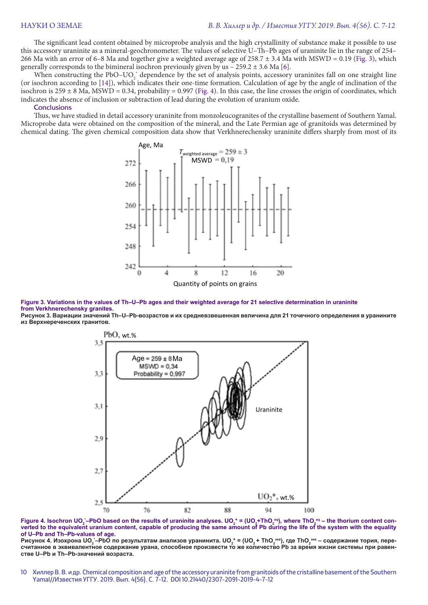The significant lead content obtained by microprobe analysis and the high crystallinity of substance make it possible to use this accessory uraninite as a mineral-geochronometer. The values of selective U–Th–Pb ages of uraninite lie in the range of 254– 266 Ma with an error of 6–8 Ma and together give a weighted average age of 258.7 ± 3.4 Ma with MSWD = 0.19 (Fig. 3), which generally corresponds to the bimineral isochron previously given by us  $-259.2 \pm 3.6$  Ma [6].

When constructing the PbO–UO<sub>2</sub><sup>\*</sup> dependence by the set of analysis points, accessory uraninites fall on one straight line (or isochron according to [14]), which indicates their one-time formation. Calculation of age by the angle of inclination of the isochron is  $259 \pm 8$  Ma, MSWD = 0.34, probability = 0.997 (Fig. 4). In this case, the line crosses the origin of coordinates, which indicates the absence of inclusion or subtraction of lead during the evolution of uranium oxide.

## Conclusions

Thus, we have studied in detail accessory uraninite from monzoleucogranites of the crystalline basement of Southern Yamal. Microprobe data were obtained on the composition of the mineral, and the Late Permian age of granitoids was determined by chemical dating. The given chemical composition data show that Verkhnerechensky uraninite differs sharply from most of its





**Рисунок 3. Вариации значений Th–U–Pb-возрастов и их средневзвешенная величина для 21 точечного определения в уранините из Верхнереченских гранитов.**



**Figure 4. Isochron UO**<sub>2</sub> –PbO based on the results of uraninite analyses. UO<sub>2</sub>\* = (UO<sub>2</sub>+ThO<sub>2</sub>°ª), where ThO<sub>2</sub>°ª – the thorium content con**verted to the equivalent uranium content, capable of producing the same amount of Pb during the life of the system with the equality of U–Pb and Th–Pb-values of age.**

**Рисунок 4. Изохрона UO2 \* –PbO по результатам анализов уранинита. UO2 \* = (UO2 + ThO2 экв), где ThO2 экв – содержание тория, пересчитанное в эквивалентное содержание урана, способное произвести то же количество Pb за время жизни системы при равенстве U–Pb и Th–Pb-значений возраста.**

10 Хиллер В. В. и др. Chemical composition and age of the accessory uraninite from granitoids of the cristalline basement of the Southern Yamal//Известия УГГУ. 2019. Вып. 4(56). С. 7-12. DOI 10.21440/2307-2091-2019-4-7-12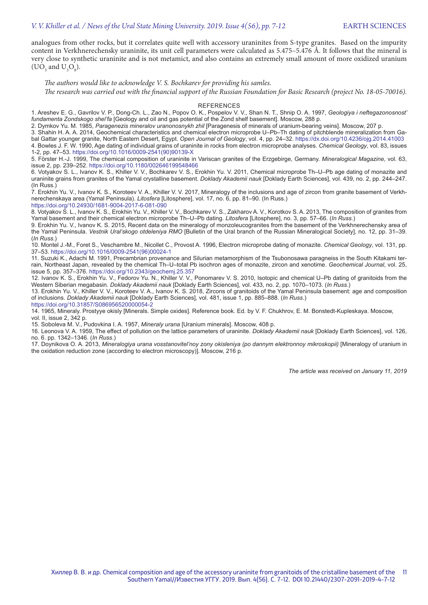analogues from other rocks, but it correlates quite well with accessory uraninites from S-type granites. Based on the impurity content in Verkhnerechensky uraninite, its unit cell parameters were calculated as  $5.475-5.476$  Å. It follows that the mineral is very close to synthetic uraninite and is not metamict, and also contains an extremely small amount of more oxidized uranium (UO<sub>3</sub> and  $U_3O_8$ ).

*The authors would like to acknowledge V. S. Bochkarev for providing his samles. The research was carried out with the financial support of the Russian Foundation for Basic Research (project No. 18-05-70016).*

### REFERENCES

1. Areshev E. G., Gavrilov V. P., Dong-Ch. L., Zao N., Popov O. K., Pospelov V. V., Shan N. T., Shnip O. A. 1997, *Geologiya i neftegazonosnost' fundamenta Zondskogo shel'fa* [Geology and oil and gas potential of the Zond shelf basement]. Moscow, 288 p.

2. Dymkov Yu. M. 1985, *Paragenezis mineralov uranonosnykh zhil* [Paragenesis of minerals of uranium-bearing veins]. Moscow, 207 p.

3. Shahin H. A. A. 2014, Geochemical characteristics and chemical electron microprobe U–Pb–Th dating of pitchblende mineralization from Gabal Gattar younger granite, North Eastern Desert, Egypt. *Open Journal of Geology*, vol. 4, pp. 24–32. https://dx.doi.org/10.4236/ojg.2014.41003 4. Bowles J. F. W. 1990, Age dating of individual grains of uraninite in rocks from electron microprobe analyses. *Chemical Geology*, vol. 83, issues 1-2, pp. 47–53. https://doi.org/10.1016/0009-2541(90)90139-X

5. Förster H.-J. 1999, The chemical composition of uraninite in Variscan granites of the Erzgebirge, Germany. *Mineralogical Magazine*, vol. 63, issue 2, pp. 239–252. https://doi.org/10.1180/002646199548466

6. Votyakov S. L., Ivanov K. S., Khiller V. V., Bochkarev V. S., Erokhin Yu. V. 2011, Chemical microprobe Th–U–Pb age dating of monazite and uraninite grains from granites of the Yamal crystalline basement. *Doklady Akademii nauk* [Doklady Earth Sciences], vol. 439, no. 2, pp. 244–247. (In Russ.)

7. Erokhin Yu. V., Ivanov K. S., Koroteev V. A., Khiller V. V. 2017, Mineralogy of the inclusions and age of zircon from granite basement of Verkhnerechenskaya area (Yamal Peninsula). *Litosfera* [Litosphere], vol. 17, no. 6, pp. 81–90. (In Russ.)

https://doi.org/10.24930/1681-9004-2017-6-081-090

8. Votyakov S. L., Ivanov K. S., Erokhin Yu. V., Khiller V. V., Bochkarev V. S., Zakharov A. V., Korotkov S. A. 2013, The composition of granites from Yamal basement and their chemical electron microprobe Th–U–Pb dating. *Litosfera* [Litosphere], no. 3, pp. 57–66. (*In Russ*.)

9. Erokhin Yu. V., Ivanov K. S. 2015, Recent data on the mineralogy of monzoleucogranites from the basement of the Verkhnerechensky area of the Yamal Peninsula. *Vestnik Ural'skogo otdeleniya RMO* [Bulletin of the Ural branch of the Russian Mineralogical Society], no. 12, pp. 31–39. (*In Russ*.)

10. Montel J.-M., Foret S., Veschambre M., Nicollet C., Provost A. 1996, Electron microprobe dating of monazite. *Chemical Geology*, vol. 131, pp. 37–53. https://doi.org/10.1016/0009-2541(96)00024-1

11. Suzuki K., Adachi M. 1991, Precambrian provenance and Silurian metamorphism of the Tsubonosawa paragneiss in the South Kitakami terrain, Northeast Japan, revealed by the chemical Th–U–total Pb isochron ages of monazite, zircon and xenotime. *Geochemical Journal*, vol. 25, issue 5, pp. 357–376. https://doi.org/10.2343/geochemj.25.357

12. Ivanov K. S., Erokhin Yu. V., Fedorov Yu. N., Khiller V. V., Ponomarev V. S. 2010, Isotopic and chemical U–Pb dating of granitoids from the Western Siberian megabasin. *Doklady Akademii nauk* [Doklady Earth Sciences], vol. 433, no. 2, pp. 1070–1073. (*In Russ*.)

13. Erokhin Yu. V., Khiller V. V., Koroteev V. A., Ivanov K. S. 2018, Zircons of granitoids of the Yamal Peninsula basement: age and composition of inclusions. *Doklady Akademii nauk* [Doklady Earth Sciences], vol. 481, issue 1, pp. 885–888. (*In Russ*.) https://doi.org/10.31857/S086956520000054-2

14. 1965, Mineraly. Prostyye okisly [Minerals. Simple oxides]. Reference book. Ed. by V. F. Chukhrov, E. M. Bonstedt-Kupleskaya. Moscow, vol. II, issue 2, 342 p.

15. Soboleva M. V., Pudovkina I. A. 1957, *Mineraly urana* [Uranium minerals]. Moscow, 408 p.

16. Leonova V. A. 1959, The effect of pollution on the lattice parameters of uraninite. *Doklady Akademii nauk* [Doklady Earth Sciences], vol. 126, no. 6. pp. 1342–1346. (*In Russ*.)

17. Doynikova O. A. 2013, *Mineralogiya urana vosstanovitel'noy zony okisleniya (po dannym elektronnoy mikroskopii)* [Mineralogy of uranium in the oxidation reduction zone (according to electron microscopy)]. Moscow, 216 p.

*The article was received on January 11, 2019*